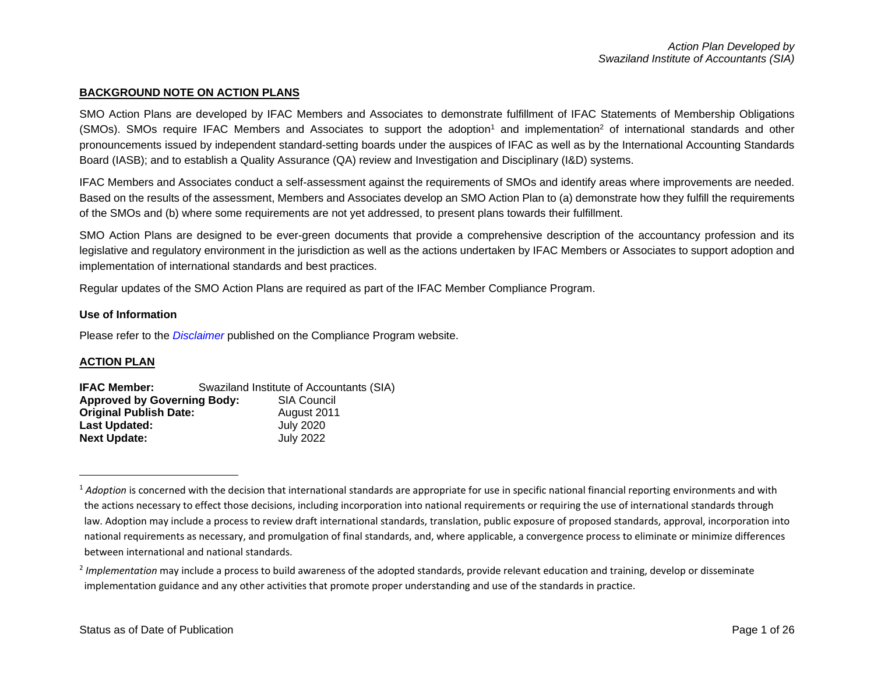### **BACKGROUND NOTE ON ACTION PLANS**

SMO Action Plans are developed by IFAC Members and Associates to demonstrate fulfillment of IFAC Statements of Membership Obligations (SMOs). SMOs require IFAC Members and Associates to support the adoption<sup>1</sup> and implementation<sup>2</sup> of international standards and other pronouncements issued by independent standard-setting boards under the auspices of IFAC as well as by the International Accounting Standards Board (IASB); and to establish a Quality Assurance (QA) review and Investigation and Disciplinary (I&D) systems.

IFAC Members and Associates conduct a self-assessment against the requirements of SMOs and identify areas where improvements are needed. Based on the results of the assessment, Members and Associates develop an SMO Action Plan to (a) demonstrate how they fulfill the requirements of the SMOs and (b) where some requirements are not yet addressed, to present plans towards their fulfillment.

SMO Action Plans are designed to be ever-green documents that provide a comprehensive description of the accountancy profession and its legislative and regulatory environment in the jurisdiction as well as the actions undertaken by IFAC Members or Associates to support adoption and implementation of international standards and best practices.

Regular updates of the SMO Action Plans are required as part of the IFAC Member Compliance Program.

### **Use of Information**

Please refer to the *[Disclaimer](http://www.ifac.org/about-ifac/membership/members/disclaimer)* published on the Compliance Program website.

## **ACTION PLAN**

| <b>IFAC Member:</b>                | Swaziland Institute of Accountants (SIA) |                    |  |  |  |  |
|------------------------------------|------------------------------------------|--------------------|--|--|--|--|
| <b>Approved by Governing Body:</b> |                                          | <b>SIA Council</b> |  |  |  |  |
| <b>Original Publish Date:</b>      |                                          | August 2011        |  |  |  |  |
| Last Updated:                      |                                          | <b>July 2020</b>   |  |  |  |  |
| <b>Next Update:</b>                |                                          | <b>July 2022</b>   |  |  |  |  |

<sup>&</sup>lt;sup>1</sup> Adoption is concerned with the decision that international standards are appropriate for use in specific national financial reporting environments and with the actions necessary to effect those decisions, including incorporation into national requirements or requiring the use of international standards through law. Adoption may include a process to review draft international standards, translation, public exposure of proposed standards, approval, incorporation into national requirements as necessary, and promulgation of final standards, and, where applicable, a convergence process to eliminate or minimize differences between international and national standards.

<sup>&</sup>lt;sup>2</sup> Implementation may include a process to build awareness of the adopted standards, provide relevant education and training, develop or disseminate implementation guidance and any other activities that promote proper understanding and use of the standards in practice.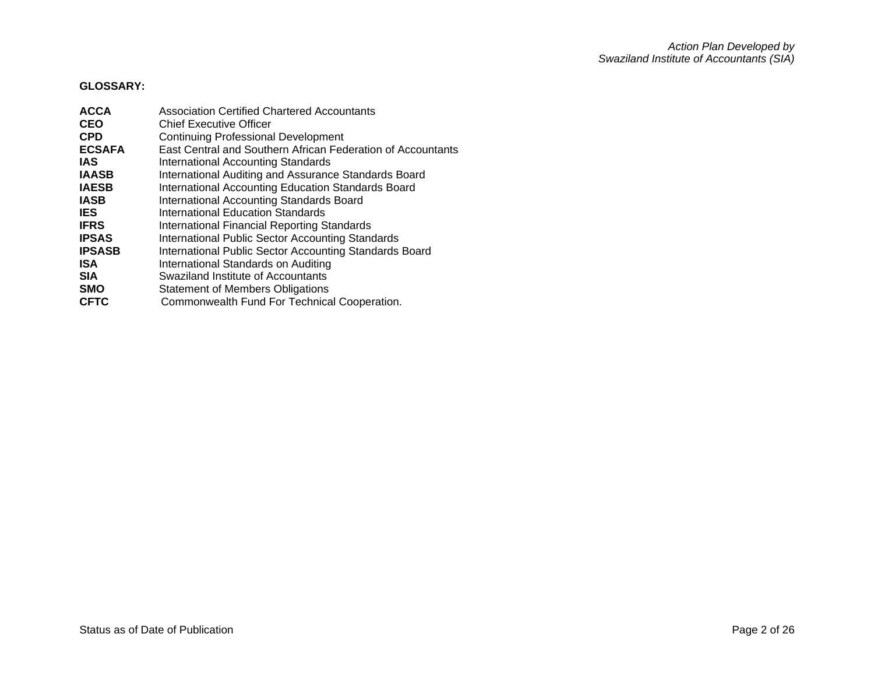# **GLOSSARY:**

| <b>ACCA</b>   | <b>Association Certified Chartered Accountants</b>          |
|---------------|-------------------------------------------------------------|
| <b>CEO</b>    | <b>Chief Executive Officer</b>                              |
| <b>CPD</b>    | <b>Continuing Professional Development</b>                  |
| <b>ECSAFA</b> | East Central and Southern African Federation of Accountants |
| <b>IAS</b>    | International Accounting Standards                          |
| <b>IAASB</b>  | International Auditing and Assurance Standards Board        |
| <b>IAESB</b>  | International Accounting Education Standards Board          |
| <b>IASB</b>   | International Accounting Standards Board                    |
| <b>IES</b>    | International Education Standards                           |
| <b>IFRS</b>   | <b>International Financial Reporting Standards</b>          |
| <b>IPSAS</b>  | International Public Sector Accounting Standards            |
| <b>IPSASB</b> | International Public Sector Accounting Standards Board      |
| <b>ISA</b>    | International Standards on Auditing                         |
| <b>SIA</b>    | Swaziland Institute of Accountants                          |
| <b>SMO</b>    | <b>Statement of Members Obligations</b>                     |
| <b>CFTC</b>   | Commonwealth Fund For Technical Cooperation.                |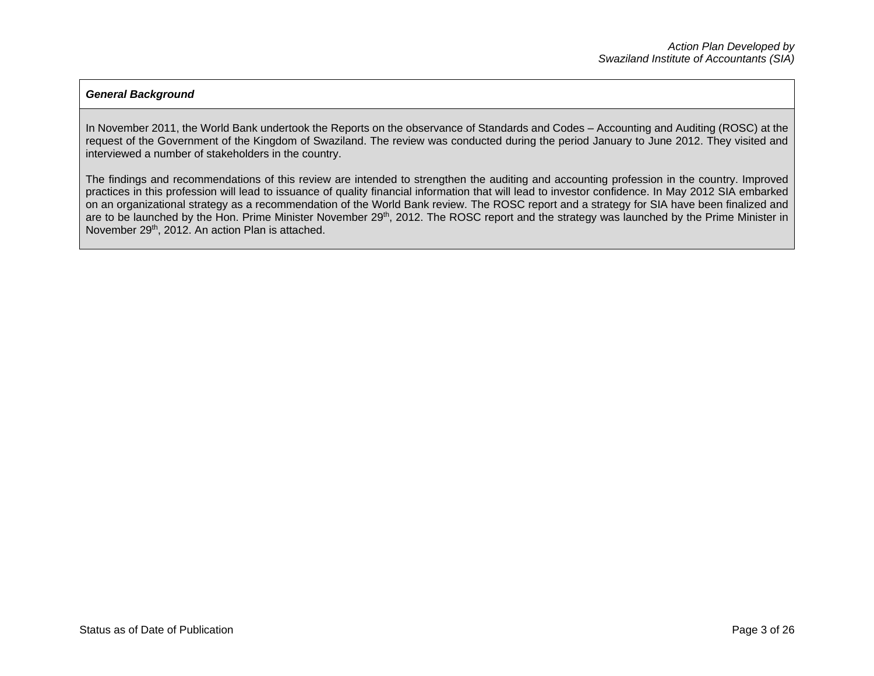## *General Background*

In November 2011, the World Bank undertook the Reports on the observance of Standards and Codes – Accounting and Auditing (ROSC) at the request of the Government of the Kingdom of Swaziland. The review was conducted during the period January to June 2012. They visited and interviewed a number of stakeholders in the country.

The findings and recommendations of this review are intended to strengthen the auditing and accounting profession in the country. Improved practices in this profession will lead to issuance of quality financial information that will lead to investor confidence. In May 2012 SIA embarked on an organizational strategy as a recommendation of the World Bank review. The ROSC report and a strategy for SIA have been finalized and are to be launched by the Hon. Prime Minister November 29<sup>th</sup>, 2012. The ROSC report and the strategy was launched by the Prime Minister in November 29<sup>th</sup>, 2012. An action Plan is attached.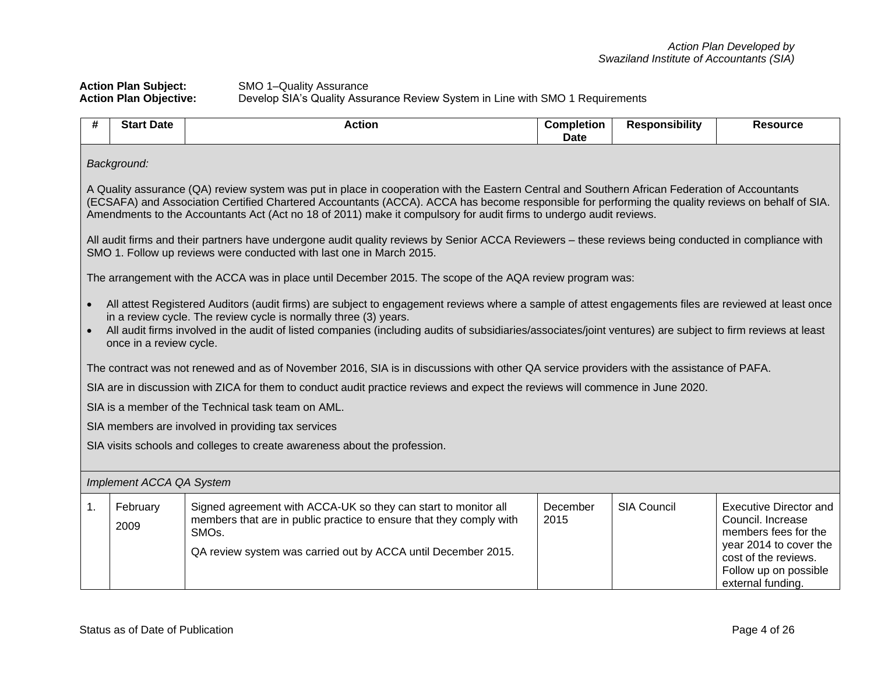## **Action Plan Subject:** SMO 1–Quality Assurance **Action Plan Objective:** Develop SIA's Quality Assurance Review System in Line with SMO 1 Requirements

|    | Background:                                                                                                                                                                                                                                                                                                                                                                                                               |                                                                                                                                                                                                                                                                                                                                                                                         |                  |                    |                                                                                                                                                                            |  |  |
|----|---------------------------------------------------------------------------------------------------------------------------------------------------------------------------------------------------------------------------------------------------------------------------------------------------------------------------------------------------------------------------------------------------------------------------|-----------------------------------------------------------------------------------------------------------------------------------------------------------------------------------------------------------------------------------------------------------------------------------------------------------------------------------------------------------------------------------------|------------------|--------------------|----------------------------------------------------------------------------------------------------------------------------------------------------------------------------|--|--|
|    | A Quality assurance (QA) review system was put in place in cooperation with the Eastern Central and Southern African Federation of Accountants<br>(ECSAFA) and Association Certified Chartered Accountants (ACCA). ACCA has become responsible for performing the quality reviews on behalf of SIA.<br>Amendments to the Accountants Act (Act no 18 of 2011) make it compulsory for audit firms to undergo audit reviews. |                                                                                                                                                                                                                                                                                                                                                                                         |                  |                    |                                                                                                                                                                            |  |  |
|    |                                                                                                                                                                                                                                                                                                                                                                                                                           | All audit firms and their partners have undergone audit quality reviews by Senior ACCA Reviewers - these reviews being conducted in compliance with<br>SMO 1. Follow up reviews were conducted with last one in March 2015.                                                                                                                                                             |                  |                    |                                                                                                                                                                            |  |  |
|    |                                                                                                                                                                                                                                                                                                                                                                                                                           | The arrangement with the ACCA was in place until December 2015. The scope of the AQA review program was:                                                                                                                                                                                                                                                                                |                  |                    |                                                                                                                                                                            |  |  |
|    | once in a review cycle.                                                                                                                                                                                                                                                                                                                                                                                                   | All attest Registered Auditors (audit firms) are subject to engagement reviews where a sample of attest engagements files are reviewed at least once<br>in a review cycle. The review cycle is normally three (3) years.<br>All audit firms involved in the audit of listed companies (including audits of subsidiaries/associates/joint ventures) are subject to firm reviews at least |                  |                    |                                                                                                                                                                            |  |  |
|    |                                                                                                                                                                                                                                                                                                                                                                                                                           | The contract was not renewed and as of November 2016, SIA is in discussions with other QA service providers with the assistance of PAFA.                                                                                                                                                                                                                                                |                  |                    |                                                                                                                                                                            |  |  |
|    |                                                                                                                                                                                                                                                                                                                                                                                                                           | SIA are in discussion with ZICA for them to conduct audit practice reviews and expect the reviews will commence in June 2020.                                                                                                                                                                                                                                                           |                  |                    |                                                                                                                                                                            |  |  |
|    |                                                                                                                                                                                                                                                                                                                                                                                                                           | SIA is a member of the Technical task team on AML.                                                                                                                                                                                                                                                                                                                                      |                  |                    |                                                                                                                                                                            |  |  |
|    |                                                                                                                                                                                                                                                                                                                                                                                                                           | SIA members are involved in providing tax services                                                                                                                                                                                                                                                                                                                                      |                  |                    |                                                                                                                                                                            |  |  |
|    |                                                                                                                                                                                                                                                                                                                                                                                                                           | SIA visits schools and colleges to create awareness about the profession.                                                                                                                                                                                                                                                                                                               |                  |                    |                                                                                                                                                                            |  |  |
|    | Implement ACCA QA System                                                                                                                                                                                                                                                                                                                                                                                                  |                                                                                                                                                                                                                                                                                                                                                                                         |                  |                    |                                                                                                                                                                            |  |  |
| 1. | February<br>2009                                                                                                                                                                                                                                                                                                                                                                                                          | Signed agreement with ACCA-UK so they can start to monitor all<br>members that are in public practice to ensure that they comply with<br>SMO <sub>s</sub> .<br>QA review system was carried out by ACCA until December 2015.                                                                                                                                                            | December<br>2015 | <b>SIA Council</b> | <b>Executive Director and</b><br>Council, Increase<br>members fees for the<br>year 2014 to cover the<br>cost of the reviews.<br>Follow up on possible<br>external funding. |  |  |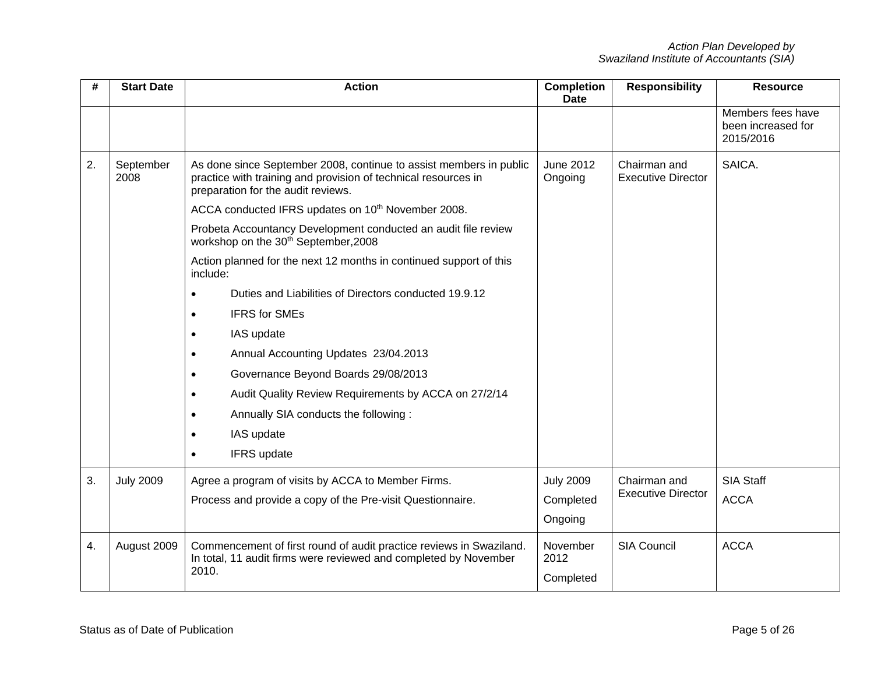| #  | <b>Start Date</b> | <b>Action</b><br><b>Completion</b>                                                                                                                                         |                               | <b>Responsibility</b>                     | <b>Resource</b>                                      |
|----|-------------------|----------------------------------------------------------------------------------------------------------------------------------------------------------------------------|-------------------------------|-------------------------------------------|------------------------------------------------------|
|    |                   |                                                                                                                                                                            |                               |                                           | Members fees have<br>been increased for<br>2015/2016 |
| 2. | September<br>2008 | As done since September 2008, continue to assist members in public<br>practice with training and provision of technical resources in<br>preparation for the audit reviews. | <b>June 2012</b><br>Ongoing   | Chairman and<br><b>Executive Director</b> | SAICA.                                               |
|    |                   | ACCA conducted IFRS updates on 10 <sup>th</sup> November 2008.                                                                                                             |                               |                                           |                                                      |
|    |                   | Probeta Accountancy Development conducted an audit file review<br>workshop on the 30 <sup>th</sup> September, 2008                                                         |                               |                                           |                                                      |
|    |                   | Action planned for the next 12 months in continued support of this<br>include:                                                                                             |                               |                                           |                                                      |
|    |                   | Duties and Liabilities of Directors conducted 19.9.12<br>$\bullet$                                                                                                         |                               |                                           |                                                      |
|    |                   | <b>IFRS for SMEs</b><br>$\bullet$                                                                                                                                          |                               |                                           |                                                      |
|    |                   | IAS update<br>$\bullet$                                                                                                                                                    |                               |                                           |                                                      |
|    |                   | Annual Accounting Updates 23/04.2013<br>$\bullet$                                                                                                                          |                               |                                           |                                                      |
|    |                   | Governance Beyond Boards 29/08/2013<br>$\bullet$                                                                                                                           |                               |                                           |                                                      |
|    |                   | Audit Quality Review Requirements by ACCA on 27/2/14<br>$\bullet$                                                                                                          |                               |                                           |                                                      |
|    |                   | Annually SIA conducts the following:<br>$\bullet$                                                                                                                          |                               |                                           |                                                      |
|    |                   | IAS update<br>٠                                                                                                                                                            |                               |                                           |                                                      |
|    |                   | IFRS update<br>$\bullet$                                                                                                                                                   |                               |                                           |                                                      |
| 3. | <b>July 2009</b>  | Agree a program of visits by ACCA to Member Firms.                                                                                                                         | <b>July 2009</b>              | Chairman and                              | <b>SIA Staff</b>                                     |
|    |                   | Process and provide a copy of the Pre-visit Questionnaire.                                                                                                                 | Completed                     | <b>Executive Director</b>                 | <b>ACCA</b>                                          |
|    |                   |                                                                                                                                                                            | Ongoing                       |                                           |                                                      |
| 4. | August 2009       | Commencement of first round of audit practice reviews in Swaziland.<br>In total, 11 audit firms were reviewed and completed by November<br>2010.                           | November<br>2012<br>Completed | <b>SIA Council</b>                        | <b>ACCA</b>                                          |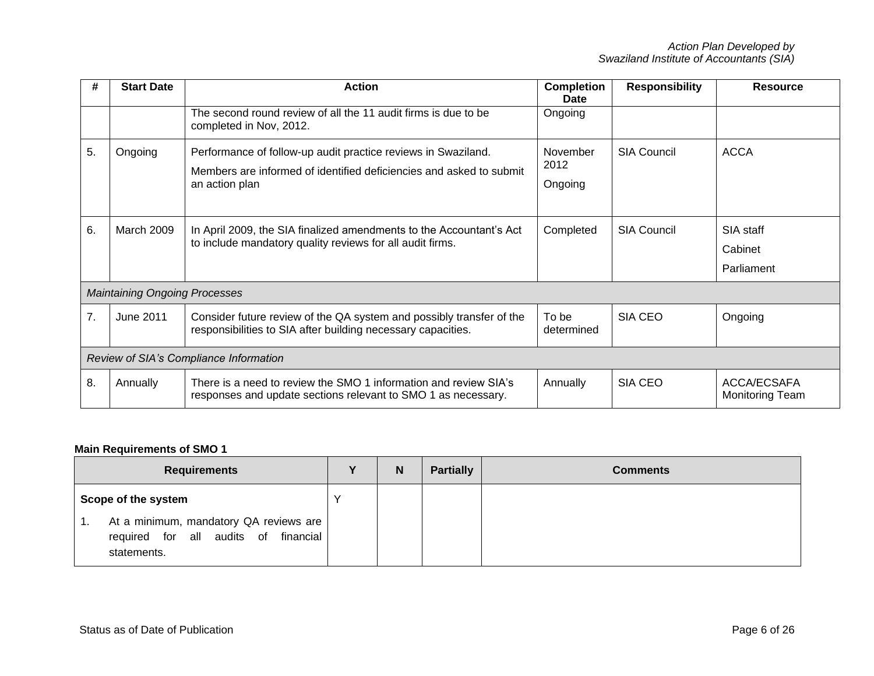| #  | <b>Start Date</b>                      | <b>Action</b><br><b>Completion</b>                                                                                                                     |                             | <b>Responsibility</b> | <b>Resource</b>                       |  |  |
|----|----------------------------------------|--------------------------------------------------------------------------------------------------------------------------------------------------------|-----------------------------|-----------------------|---------------------------------------|--|--|
|    |                                        | The second round review of all the 11 audit firms is due to be<br>completed in Nov, 2012.                                                              | Ongoing                     |                       |                                       |  |  |
| 5. | Ongoing                                | Performance of follow-up audit practice reviews in Swaziland.<br>Members are informed of identified deficiencies and asked to submit<br>an action plan | November<br>2012<br>Ongoing | <b>SIA Council</b>    | <b>ACCA</b>                           |  |  |
| 6. | <b>March 2009</b>                      | In April 2009, the SIA finalized amendments to the Accountant's Act<br>to include mandatory quality reviews for all audit firms.                       | Completed                   | <b>SIA Council</b>    | SIA staff<br>Cabinet<br>Parliament    |  |  |
|    | <b>Maintaining Ongoing Processes</b>   |                                                                                                                                                        |                             |                       |                                       |  |  |
| 7. | <b>June 2011</b>                       | Consider future review of the QA system and possibly transfer of the<br>responsibilities to SIA after building necessary capacities.                   | To be<br>determined         | SIA CEO               | Ongoing                               |  |  |
|    | Review of SIA's Compliance Information |                                                                                                                                                        |                             |                       |                                       |  |  |
| 8. | Annually                               | There is a need to review the SMO 1 information and review SIA's<br>responses and update sections relevant to SMO 1 as necessary.                      | Annually                    | SIA CEO               | ACCA/ECSAFA<br><b>Monitoring Team</b> |  |  |

# **Main Requirements of SMO 1**

| <b>Requirements</b>                                                                                     | Y           | N | <b>Partially</b> | <b>Comments</b> |
|---------------------------------------------------------------------------------------------------------|-------------|---|------------------|-----------------|
| Scope of the system                                                                                     | $\check{ }$ |   |                  |                 |
| At a minimum, mandatory QA reviews are<br>-1.<br>required for all audits of<br>financial<br>statements. |             |   |                  |                 |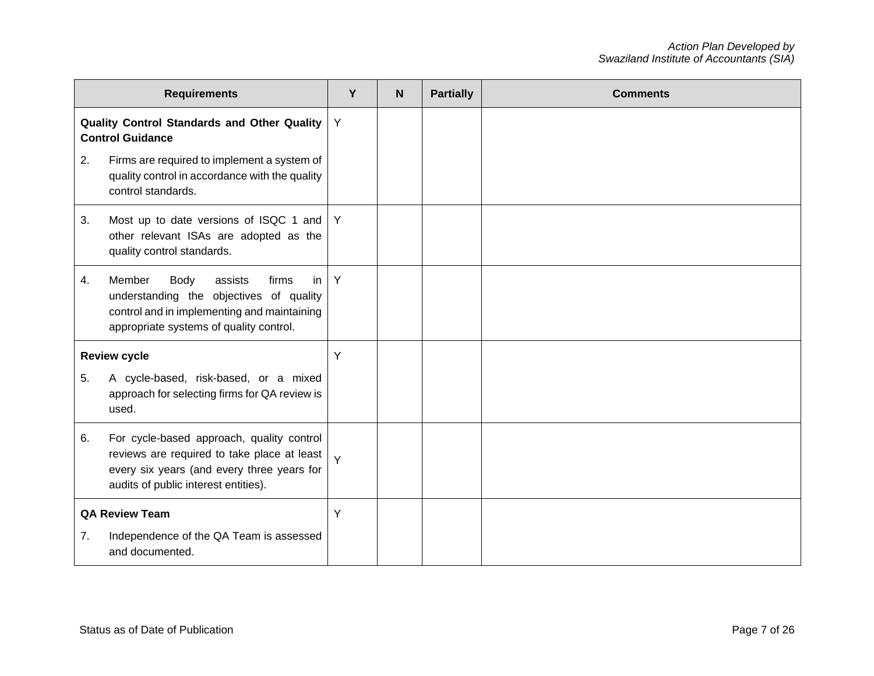|                       | <b>Requirements</b>                                                                                                                                                                  | Y | <b>N</b> | <b>Partially</b> | <b>Comments</b> |
|-----------------------|--------------------------------------------------------------------------------------------------------------------------------------------------------------------------------------|---|----------|------------------|-----------------|
|                       | Quality Control Standards and Other Quality<br><b>Control Guidance</b>                                                                                                               | Y |          |                  |                 |
| 2.                    | Firms are required to implement a system of<br>quality control in accordance with the quality<br>control standards.                                                                  |   |          |                  |                 |
| 3.                    | Most up to date versions of ISQC 1 and<br>other relevant ISAs are adopted as the<br>quality control standards.                                                                       | Y |          |                  |                 |
| 4.                    | Member<br><b>Body</b><br>in<br>assists<br>firms<br>understanding the objectives of quality<br>control and in implementing and maintaining<br>appropriate systems of quality control. | Y |          |                  |                 |
|                       | <b>Review cycle</b>                                                                                                                                                                  | Y |          |                  |                 |
| 5.                    | A cycle-based, risk-based, or a mixed<br>approach for selecting firms for QA review is<br>used.                                                                                      |   |          |                  |                 |
| 6.                    | For cycle-based approach, quality control<br>reviews are required to take place at least<br>every six years (and every three years for<br>audits of public interest entities).       | Y |          |                  |                 |
| <b>QA Review Team</b> |                                                                                                                                                                                      | Y |          |                  |                 |
| 7.                    | Independence of the QA Team is assessed<br>and documented.                                                                                                                           |   |          |                  |                 |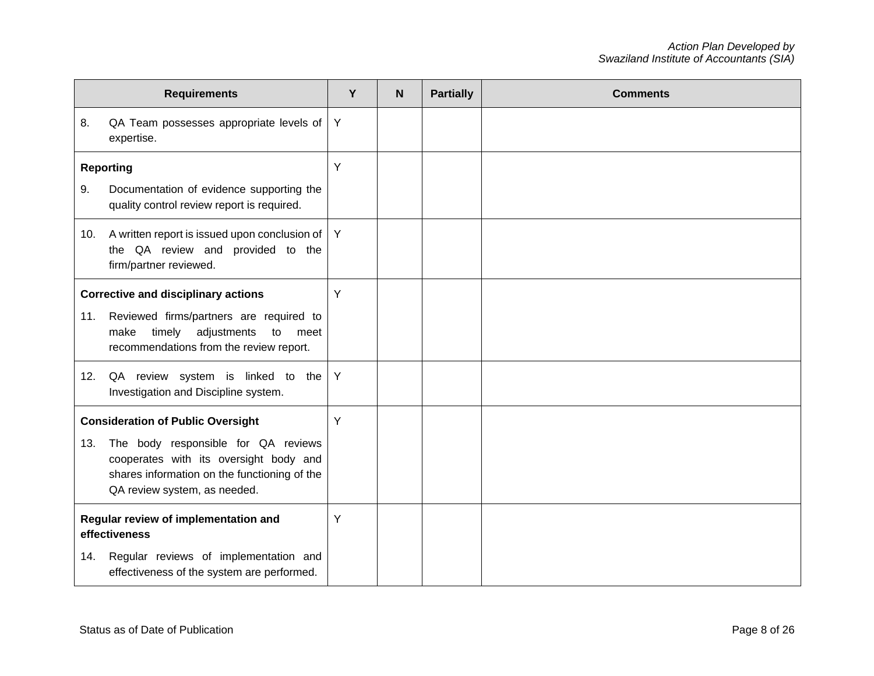|                                                       | <b>Requirements</b>                                                                                                                                           | Y | $\mathbf N$ | <b>Partially</b> | <b>Comments</b> |
|-------------------------------------------------------|---------------------------------------------------------------------------------------------------------------------------------------------------------------|---|-------------|------------------|-----------------|
| 8.                                                    | QA Team possesses appropriate levels of<br>expertise.                                                                                                         | Y |             |                  |                 |
|                                                       | <b>Reporting</b>                                                                                                                                              | Y |             |                  |                 |
| 9.                                                    | Documentation of evidence supporting the<br>quality control review report is required.                                                                        |   |             |                  |                 |
| 10.                                                   | A written report is issued upon conclusion of<br>the QA review and provided to the<br>firm/partner reviewed.                                                  | Y |             |                  |                 |
|                                                       | <b>Corrective and disciplinary actions</b>                                                                                                                    |   |             |                  |                 |
| 11.                                                   | Reviewed firms/partners are required to<br>adjustments<br>to<br>timely<br>make<br>meet<br>recommendations from the review report.                             |   |             |                  |                 |
| 12.                                                   | QA review system is linked to the<br>Investigation and Discipline system.                                                                                     | Y |             |                  |                 |
|                                                       | <b>Consideration of Public Oversight</b>                                                                                                                      | Y |             |                  |                 |
| 13.                                                   | The body responsible for QA reviews<br>cooperates with its oversight body and<br>shares information on the functioning of the<br>QA review system, as needed. |   |             |                  |                 |
| Regular review of implementation and<br>effectiveness |                                                                                                                                                               | Y |             |                  |                 |
| 14.                                                   | Regular reviews of implementation and<br>effectiveness of the system are performed.                                                                           |   |             |                  |                 |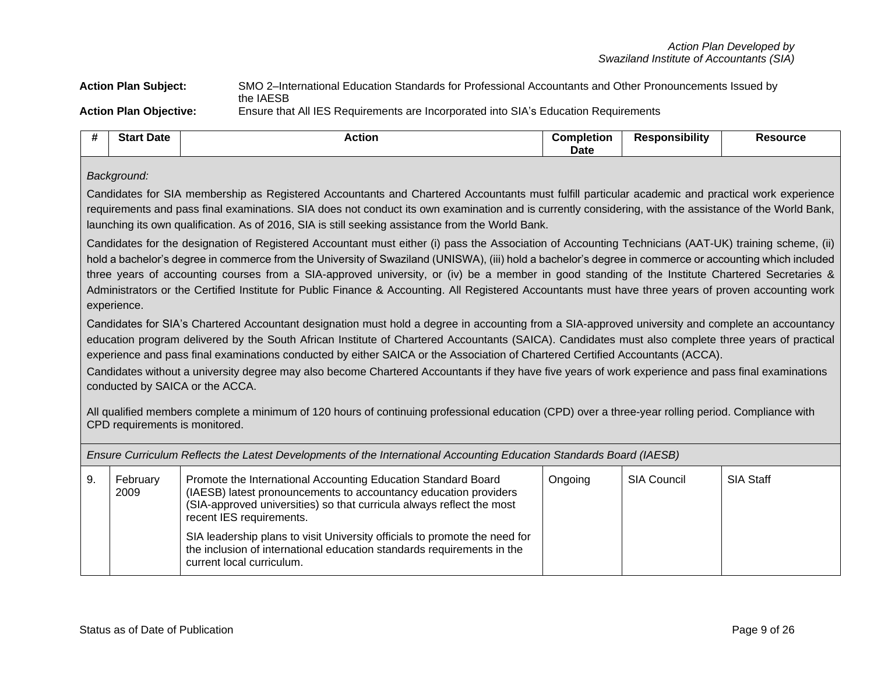**Action Plan Subject:** SMO 2–International Education Standards for Professional Accountants and Other Pronouncements Issued by the IAESB **Action Plan Objective:** Ensure that All IES Requirements are Incorporated into SIA's Education Requirements

| <br><b>Star</b><br><b>Date</b> | Actior | Completion | .<br>`≏≏nonsibilitv<br>kesno | Resource |
|--------------------------------|--------|------------|------------------------------|----------|
|                                |        | Date       |                              |          |

### *Background:*

Candidates for SIA membership as Registered Accountants and Chartered Accountants must fulfill particular academic and practical work experience requirements and pass final examinations. SIA does not conduct its own examination and is currently considering, with the assistance of the World Bank, launching its own qualification. As of 2016, SIA is still seeking assistance from the World Bank.

Candidates for the designation of Registered Accountant must either (i) pass the [Association of Accounting Technicians](http://www.aat.org.uk/) (AAT-UK) training scheme, (ii) hold a bachelor's degree in commerce from the University of Swaziland (UNISWA), (iii) hold a bachelor's degree in commerce or accounting which included three years of accounting courses from a SIA-approved university, or (iv) be a member in good standing of the Institute Chartered Secretaries & Administrators or the Certified Institute for Public Finance & Accounting. All Registered Accountants must have three years of proven accounting work experience.

Candidates for SIA's Chartered Accountant designation must hold a degree in accounting from a SIA-approved university and complete an accountancy education program delivered by the South African Institute of Chartered Accountants (SAICA). Candidates must also complete three years of practical experience and pass final examinations conducted by either SAICA or the Association of Chartered Certified Accountants (ACCA).

Candidates without a university degree may also become Chartered Accountants if they have five years of work experience and pass final examinations conducted by SAICA or the ACCA.

All qualified members complete a minimum of 120 hours of continuing professional education (CPD) over a three-year rolling period. Compliance with CPD requirements is monitored.

*Ensure Curriculum Reflects the Latest Developments of the International Accounting Education Standards Board (IAESB)*

| 9. | Promote the International Accounting Education Standard Board<br>February<br>(IAESB) latest pronouncements to accountancy education providers<br>2009<br>(SIA-approved universities) so that curricula always reflect the most<br>recent IES requirements. |                                                                                                                                                                                   | Ongoing | SIA Council | <b>SIA Staff</b> |
|----|------------------------------------------------------------------------------------------------------------------------------------------------------------------------------------------------------------------------------------------------------------|-----------------------------------------------------------------------------------------------------------------------------------------------------------------------------------|---------|-------------|------------------|
|    |                                                                                                                                                                                                                                                            | SIA leadership plans to visit University officials to promote the need for<br>the inclusion of international education standards requirements in the<br>current local curriculum. |         |             |                  |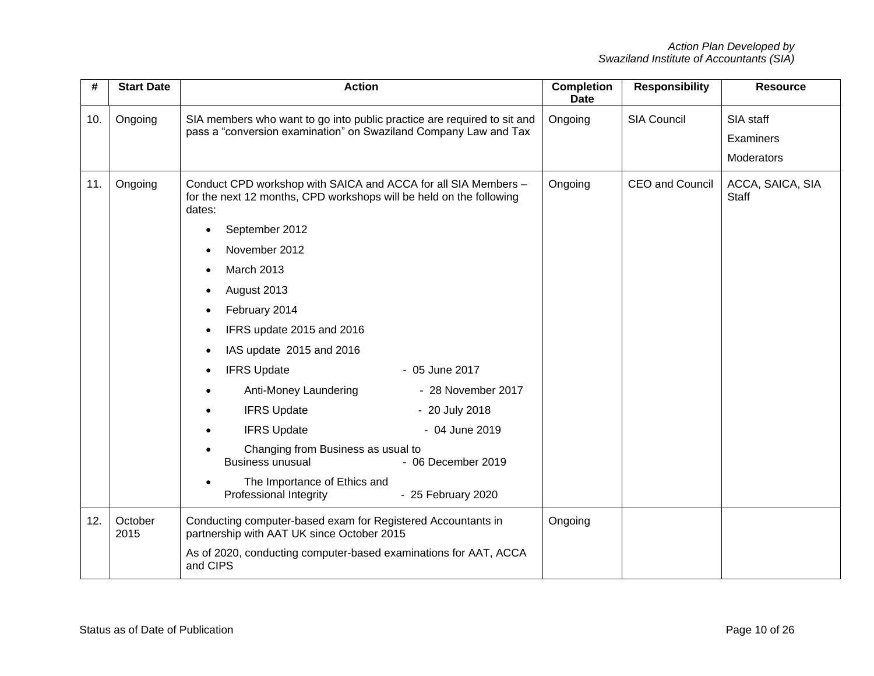| #   | <b>Start Date</b> | <b>Action</b>                                                                                                                                                                                                                                                                                                                                                                                                                                                           | <b>Completion</b><br><b>Date</b> | <b>Responsibility</b>  | <b>Resource</b>                      |
|-----|-------------------|-------------------------------------------------------------------------------------------------------------------------------------------------------------------------------------------------------------------------------------------------------------------------------------------------------------------------------------------------------------------------------------------------------------------------------------------------------------------------|----------------------------------|------------------------|--------------------------------------|
| 10. | Ongoing           | SIA members who want to go into public practice are required to sit and<br>pass a "conversion examination" on Swaziland Company Law and Tax                                                                                                                                                                                                                                                                                                                             | Ongoing                          | <b>SIA Council</b>     | SIA staff<br>Examiners<br>Moderators |
| 11. | Ongoing           | Conduct CPD workshop with SAICA and ACCA for all SIA Members -<br>for the next 12 months, CPD workshops will be held on the following<br>dates:<br>September 2012<br>November 2012<br><b>March 2013</b><br>August 2013<br>February 2014<br>IFRS update 2015 and 2016<br>IAS update 2015 and 2016<br><b>IFRS Update</b><br>- 05 June 2017<br>Anti-Money Laundering<br>- 28 November 2017<br><b>IFRS Update</b><br>- 20 July 2018<br><b>IFRS Update</b><br>- 04 June 2019 | Ongoing                          | <b>CEO</b> and Council | ACCA, SAICA, SIA<br><b>Staff</b>     |
|     |                   | Changing from Business as usual to<br><b>Business unusual</b><br>- 06 December 2019<br>The Importance of Ethics and<br>Professional Integrity<br>- 25 February 2020                                                                                                                                                                                                                                                                                                     |                                  |                        |                                      |
| 12. | October<br>2015   | Conducting computer-based exam for Registered Accountants in<br>partnership with AAT UK since October 2015<br>As of 2020, conducting computer-based examinations for AAT, ACCA<br>and CIPS                                                                                                                                                                                                                                                                              | Ongoing                          |                        |                                      |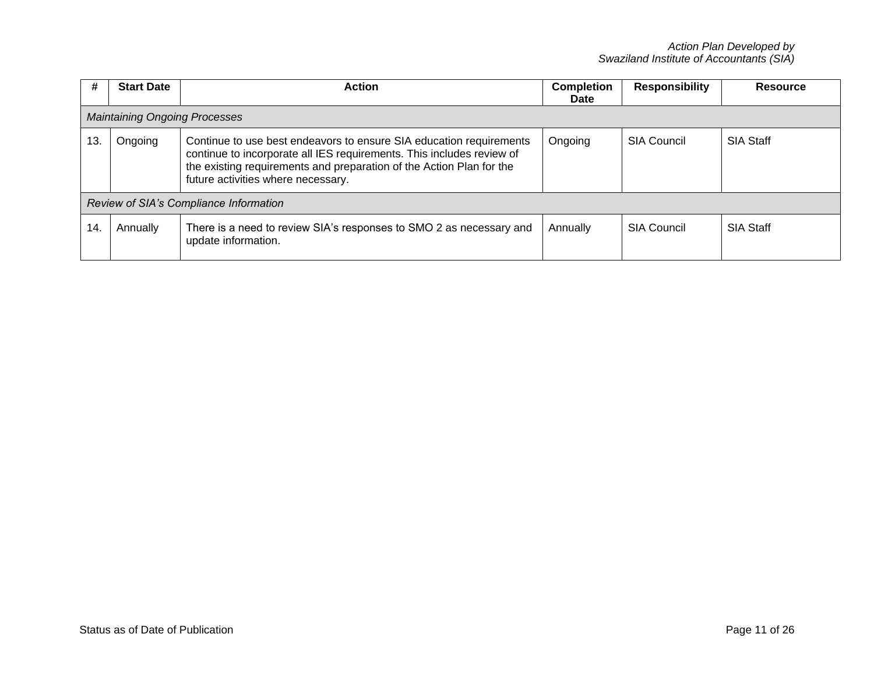| #                                      | <b>Start Date</b>                    | <b>Action</b>                                                                                                                                                                                                                                              | <b>Completion</b><br><b>Date</b> | <b>Responsibility</b> | <b>Resource</b>  |  |  |
|----------------------------------------|--------------------------------------|------------------------------------------------------------------------------------------------------------------------------------------------------------------------------------------------------------------------------------------------------------|----------------------------------|-----------------------|------------------|--|--|
|                                        | <b>Maintaining Ongoing Processes</b> |                                                                                                                                                                                                                                                            |                                  |                       |                  |  |  |
| 13.                                    | Ongoing                              | Continue to use best endeavors to ensure SIA education requirements<br>continue to incorporate all IES requirements. This includes review of<br>the existing requirements and preparation of the Action Plan for the<br>future activities where necessary. | Ongoing                          | <b>SIA Council</b>    | <b>SIA Staff</b> |  |  |
| Review of SIA's Compliance Information |                                      |                                                                                                                                                                                                                                                            |                                  |                       |                  |  |  |
| 14                                     | Annually                             | There is a need to review SIA's responses to SMO 2 as necessary and<br>update information.                                                                                                                                                                 | Annually                         | <b>SIA Council</b>    | <b>SIA Staff</b> |  |  |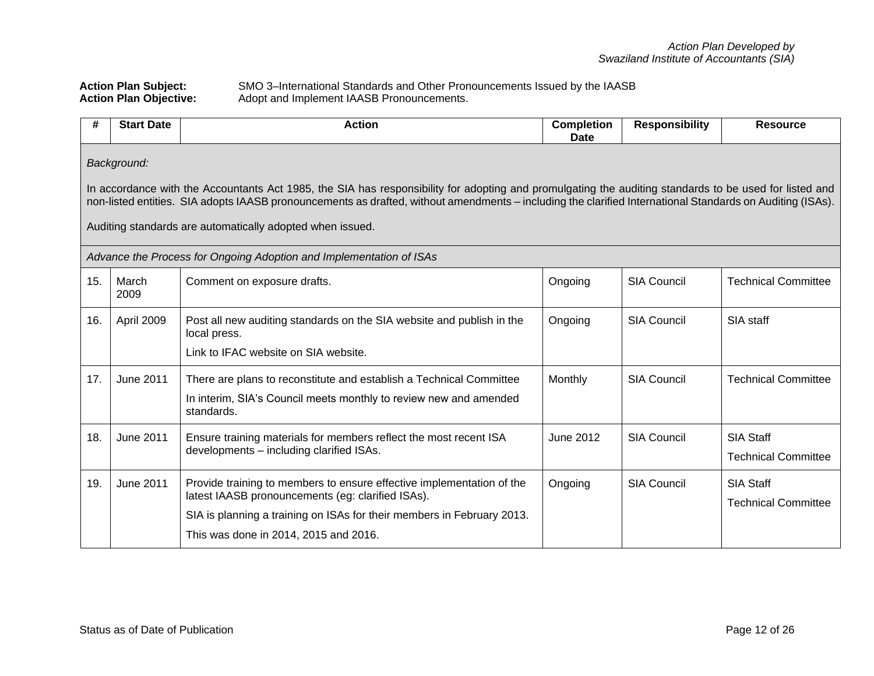**Action Plan Subject:** SMO 3–International Standards and Other Pronouncements Issued by the IAASB Action Plan Objective: Adopt and Implement IAASB Pronouncements.

| #                                                                                                                                                                                                                                                                        | <b>Start Date</b>                                                                                                                                                                                                                                                                                                                                                                               | <b>Action</b>                                                                                                                                          | <b>Completion</b><br>Date | <b>Responsibility</b>                          | <b>Resource</b>                                |  |  |  |  |
|--------------------------------------------------------------------------------------------------------------------------------------------------------------------------------------------------------------------------------------------------------------------------|-------------------------------------------------------------------------------------------------------------------------------------------------------------------------------------------------------------------------------------------------------------------------------------------------------------------------------------------------------------------------------------------------|--------------------------------------------------------------------------------------------------------------------------------------------------------|---------------------------|------------------------------------------------|------------------------------------------------|--|--|--|--|
|                                                                                                                                                                                                                                                                          | Background:<br>In accordance with the Accountants Act 1985, the SIA has responsibility for adopting and promulgating the auditing standards to be used for listed and<br>non-listed entities. SIA adopts IAASB pronouncements as drafted, without amendments – including the clarified International Standards on Auditing (ISAs).<br>Auditing standards are automatically adopted when issued. |                                                                                                                                                        |                           |                                                |                                                |  |  |  |  |
|                                                                                                                                                                                                                                                                          |                                                                                                                                                                                                                                                                                                                                                                                                 | Advance the Process for Ongoing Adoption and Implementation of ISAs                                                                                    |                           |                                                |                                                |  |  |  |  |
| 15.                                                                                                                                                                                                                                                                      | March<br>Comment on exposure drafts.<br>2009                                                                                                                                                                                                                                                                                                                                                    |                                                                                                                                                        | Ongoing                   | <b>SIA Council</b>                             | <b>Technical Committee</b>                     |  |  |  |  |
| 16.                                                                                                                                                                                                                                                                      | April 2009<br>Post all new auditing standards on the SIA website and publish in the<br>local press.<br>Link to IFAC website on SIA website.                                                                                                                                                                                                                                                     |                                                                                                                                                        | Ongoing                   | <b>SIA Council</b>                             | SIA staff                                      |  |  |  |  |
| 17.                                                                                                                                                                                                                                                                      | <b>June 2011</b>                                                                                                                                                                                                                                                                                                                                                                                | There are plans to reconstitute and establish a Technical Committee<br>In interim, SIA's Council meets monthly to review new and amended<br>standards. | Monthly                   | <b>SIA Council</b>                             | <b>Technical Committee</b>                     |  |  |  |  |
| 18.                                                                                                                                                                                                                                                                      | <b>June 2011</b><br>Ensure training materials for members reflect the most recent ISA<br>developments - including clarified ISAs.                                                                                                                                                                                                                                                               |                                                                                                                                                        | June 2012                 | <b>SIA Council</b>                             | <b>SIA Staff</b><br><b>Technical Committee</b> |  |  |  |  |
| <b>June 2011</b><br>19.<br>Provide training to members to ensure effective implementation of the<br>latest IAASB pronouncements (eg: clarified ISAs).<br>SIA is planning a training on ISAs for their members in February 2013.<br>This was done in 2014, 2015 and 2016. |                                                                                                                                                                                                                                                                                                                                                                                                 | Ongoing                                                                                                                                                | <b>SIA Council</b>        | <b>SIA Staff</b><br><b>Technical Committee</b> |                                                |  |  |  |  |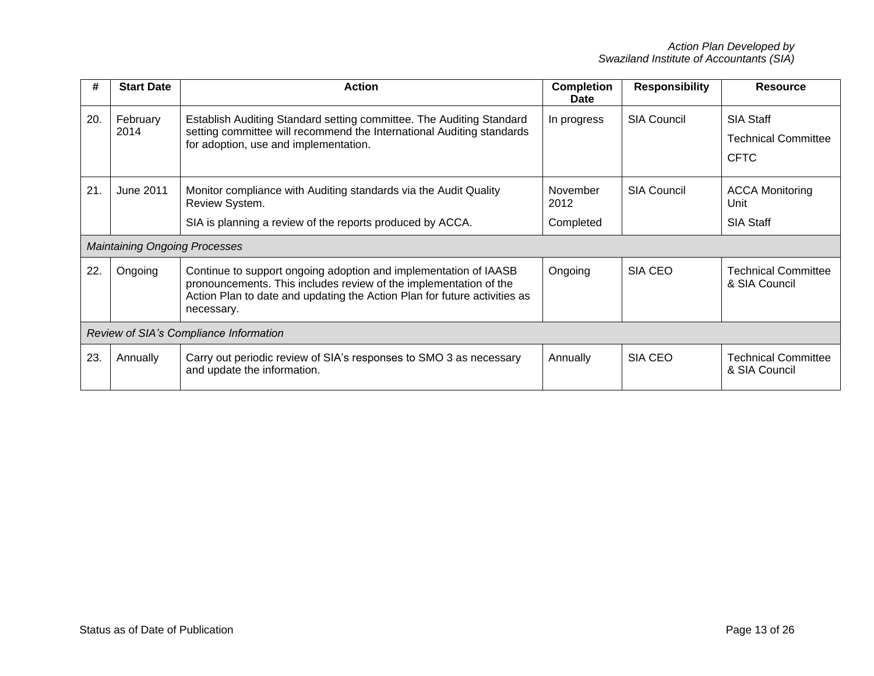| #   | <b>Start Date</b>                      | <b>Action</b>                                                                                                                                                                                                                    | <b>Completion</b><br>Date | <b>Responsibility</b> | <b>Resource</b>                                               |  |
|-----|----------------------------------------|----------------------------------------------------------------------------------------------------------------------------------------------------------------------------------------------------------------------------------|---------------------------|-----------------------|---------------------------------------------------------------|--|
| 20. | February<br>2014                       | Establish Auditing Standard setting committee. The Auditing Standard<br>setting committee will recommend the International Auditing standards<br>for adoption, use and implementation.                                           | In progress               | <b>SIA Council</b>    | <b>SIA Staff</b><br><b>Technical Committee</b><br><b>CFTC</b> |  |
| 21. | <b>June 2011</b>                       | Monitor compliance with Auditing standards via the Audit Quality<br>Review System.                                                                                                                                               | November<br>2012          | <b>SIA Council</b>    | <b>ACCA Monitoring</b><br>Unit                                |  |
|     |                                        | SIA is planning a review of the reports produced by ACCA.                                                                                                                                                                        | Completed                 |                       | <b>SIA Staff</b>                                              |  |
|     | <b>Maintaining Ongoing Processes</b>   |                                                                                                                                                                                                                                  |                           |                       |                                                               |  |
| 22  | Ongoing                                | Continue to support ongoing adoption and implementation of IAASB<br>pronouncements. This includes review of the implementation of the<br>Action Plan to date and updating the Action Plan for future activities as<br>necessary. | Ongoing                   | SIA CEO               | <b>Technical Committee</b><br>& SIA Council                   |  |
|     | Review of SIA's Compliance Information |                                                                                                                                                                                                                                  |                           |                       |                                                               |  |
| 23. | Annually                               | Carry out periodic review of SIA's responses to SMO 3 as necessary<br>and update the information.                                                                                                                                | Annually                  | SIA CEO               | <b>Technical Committee</b><br>& SIA Council                   |  |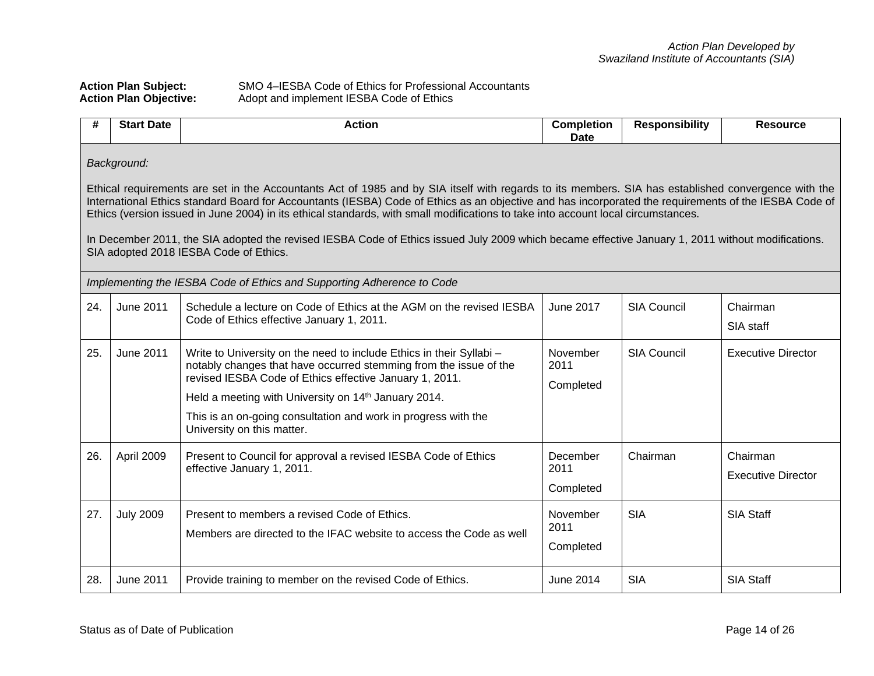# Action Plan Subject: SMO 4–IESBA Code of Ethics for Professional Accountants<br>Action Plan Objective: Adopt and implement IESBA Code of Ethics Adopt and implement IESBA Code of Ethics

| #   | <b>Start Date</b><br><b>Action</b>                                                                                                                                                                                                                                                                                                                                                                                                                                                                                                                                                                                                                              |                                                                                                                                                                                                                                                                                                                                                                          | <b>Completion</b><br>Date                             | <b>Responsibility</b> | <b>Resource</b>           |  |  |  |
|-----|-----------------------------------------------------------------------------------------------------------------------------------------------------------------------------------------------------------------------------------------------------------------------------------------------------------------------------------------------------------------------------------------------------------------------------------------------------------------------------------------------------------------------------------------------------------------------------------------------------------------------------------------------------------------|--------------------------------------------------------------------------------------------------------------------------------------------------------------------------------------------------------------------------------------------------------------------------------------------------------------------------------------------------------------------------|-------------------------------------------------------|-----------------------|---------------------------|--|--|--|
|     | Background:<br>Ethical requirements are set in the Accountants Act of 1985 and by SIA itself with regards to its members. SIA has established convergence with the<br>International Ethics standard Board for Accountants (IESBA) Code of Ethics as an objective and has incorporated the requirements of the IESBA Code of<br>Ethics (version issued in June 2004) in its ethical standards, with small modifications to take into account local circumstances.<br>In December 2011, the SIA adopted the revised IESBA Code of Ethics issued July 2009 which became effective January 1, 2011 without modifications.<br>SIA adopted 2018 IESBA Code of Ethics. |                                                                                                                                                                                                                                                                                                                                                                          |                                                       |                       |                           |  |  |  |
|     |                                                                                                                                                                                                                                                                                                                                                                                                                                                                                                                                                                                                                                                                 | Implementing the IESBA Code of Ethics and Supporting Adherence to Code                                                                                                                                                                                                                                                                                                   |                                                       |                       |                           |  |  |  |
| 24. | <b>June 2011</b><br>Schedule a lecture on Code of Ethics at the AGM on the revised IESBA<br>Code of Ethics effective January 1, 2011.                                                                                                                                                                                                                                                                                                                                                                                                                                                                                                                           |                                                                                                                                                                                                                                                                                                                                                                          | June 2017                                             | <b>SIA Council</b>    | Chairman<br>SIA staff     |  |  |  |
| 25. | <b>June 2011</b>                                                                                                                                                                                                                                                                                                                                                                                                                                                                                                                                                                                                                                                | Write to University on the need to include Ethics in their Syllabi -<br>notably changes that have occurred stemming from the issue of the<br>revised IESBA Code of Ethics effective January 1, 2011.<br>Held a meeting with University on 14 <sup>th</sup> January 2014.<br>This is an on-going consultation and work in progress with the<br>University on this matter. |                                                       | <b>SIA Council</b>    | <b>Executive Director</b> |  |  |  |
| 26. | April 2009                                                                                                                                                                                                                                                                                                                                                                                                                                                                                                                                                                                                                                                      | Present to Council for approval a revised IESBA Code of Ethics<br>effective January 1, 2011.                                                                                                                                                                                                                                                                             | December<br>Chairman<br>Chairman<br>2011<br>Completed |                       | <b>Executive Director</b> |  |  |  |
| 27. | <b>July 2009</b>                                                                                                                                                                                                                                                                                                                                                                                                                                                                                                                                                                                                                                                | Present to members a revised Code of Ethics.<br>Members are directed to the IFAC website to access the Code as well                                                                                                                                                                                                                                                      | November<br>2011<br>Completed                         | <b>SIA</b>            | <b>SIA Staff</b>          |  |  |  |
| 28. | <b>June 2011</b>                                                                                                                                                                                                                                                                                                                                                                                                                                                                                                                                                                                                                                                | Provide training to member on the revised Code of Ethics.                                                                                                                                                                                                                                                                                                                | <b>June 2014</b>                                      | <b>SIA</b>            | <b>SIA Staff</b>          |  |  |  |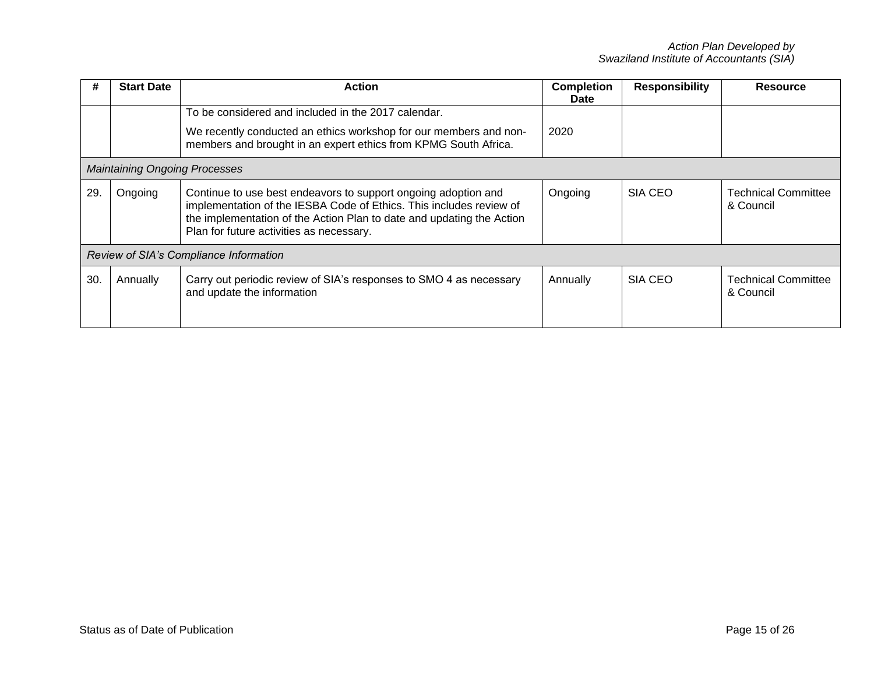|     | <b>Start Date</b>                    | <b>Action</b>                                                                                                                                                                                                                                              | <b>Completion</b><br><b>Responsibility</b><br><b>Date</b> |         | <b>Resource</b>                         |
|-----|--------------------------------------|------------------------------------------------------------------------------------------------------------------------------------------------------------------------------------------------------------------------------------------------------------|-----------------------------------------------------------|---------|-----------------------------------------|
|     |                                      | To be considered and included in the 2017 calendar.<br>We recently conducted an ethics workshop for our members and non-                                                                                                                                   | 2020                                                      |         |                                         |
|     |                                      | members and brought in an expert ethics from KPMG South Africa.                                                                                                                                                                                            |                                                           |         |                                         |
|     | <b>Maintaining Ongoing Processes</b> |                                                                                                                                                                                                                                                            |                                                           |         |                                         |
| 29. | Ongoing                              | Continue to use best endeavors to support ongoing adoption and<br>implementation of the IESBA Code of Ethics. This includes review of<br>the implementation of the Action Plan to date and updating the Action<br>Plan for future activities as necessary. | Ongoing                                                   | SIA CEO | <b>Technical Committee</b><br>& Council |
|     |                                      | Review of SIA's Compliance Information                                                                                                                                                                                                                     |                                                           |         |                                         |
| 30  | Annually                             | Carry out periodic review of SIA's responses to SMO 4 as necessary<br>and update the information                                                                                                                                                           | Annually                                                  | SIA CEO | <b>Technical Committee</b><br>& Council |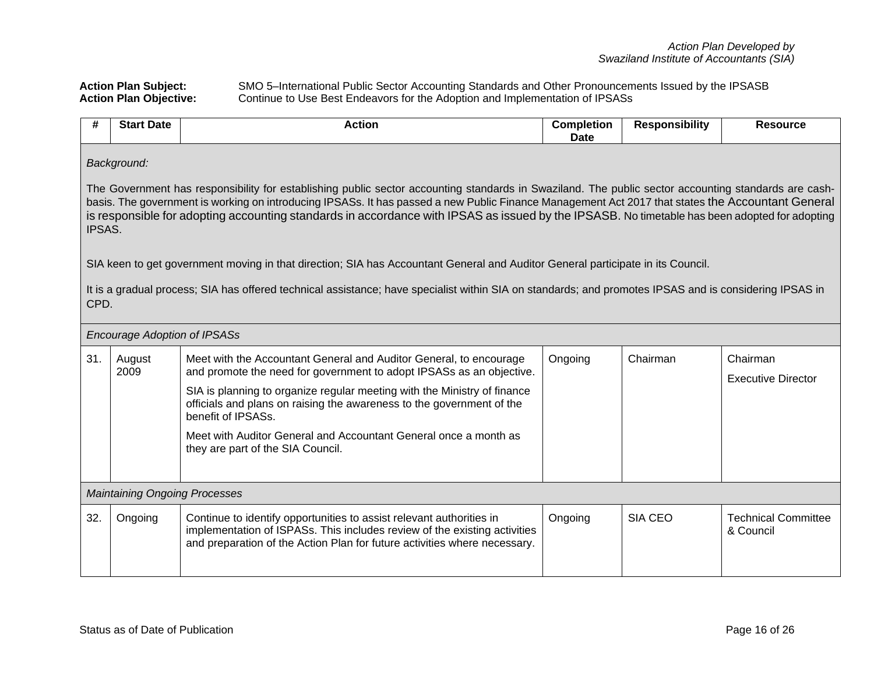**Action Plan Subject:** SMO 5–International Public Sector Accounting Standards and Other Pronouncements Issued by the IPSASB **Action Plan Objective:** Continue to Use Best Endeavors for the Adoption and Implementation of IPSASs

| #   | <b>Start Date</b>                                                                                                                                                                                                                                                                                                                                                                                                                                                                                                                                                                                                                                                                                                                                                                        | <b>Action</b> | <b>Completion</b><br><b>Date</b> | <b>Responsibility</b> | <b>Resource</b>                         |  |  |
|-----|------------------------------------------------------------------------------------------------------------------------------------------------------------------------------------------------------------------------------------------------------------------------------------------------------------------------------------------------------------------------------------------------------------------------------------------------------------------------------------------------------------------------------------------------------------------------------------------------------------------------------------------------------------------------------------------------------------------------------------------------------------------------------------------|---------------|----------------------------------|-----------------------|-----------------------------------------|--|--|
|     | Background:<br>The Government has responsibility for establishing public sector accounting standards in Swaziland. The public sector accounting standards are cash-<br>basis. The government is working on introducing IPSASs. It has passed a new Public Finance Management Act 2017 that states the Accountant General<br>is responsible for adopting accounting standards in accordance with IPSAS as issued by the IPSASB. No timetable has been adopted for adopting<br>IPSAS.<br>SIA keen to get government moving in that direction; SIA has Accountant General and Auditor General participate in its Council.<br>It is a gradual process; SIA has offered technical assistance; have specialist within SIA on standards; and promotes IPSAS and is considering IPSAS in<br>CPD. |               |                                  |                       |                                         |  |  |
|     | <b>Encourage Adoption of IPSASs</b>                                                                                                                                                                                                                                                                                                                                                                                                                                                                                                                                                                                                                                                                                                                                                      |               |                                  |                       |                                         |  |  |
| 31. | Meet with the Accountant General and Auditor General, to encourage<br>August<br>and promote the need for government to adopt IPSASs as an objective.<br>2009<br>SIA is planning to organize regular meeting with the Ministry of finance<br>officials and plans on raising the awareness to the government of the<br>benefit of IPSASs.<br>Meet with Auditor General and Accountant General once a month as<br>they are part of the SIA Council.                                                                                                                                                                                                                                                                                                                                         |               | Ongoing                          | Chairman              | Chairman<br><b>Executive Director</b>   |  |  |
|     | <b>Maintaining Ongoing Processes</b>                                                                                                                                                                                                                                                                                                                                                                                                                                                                                                                                                                                                                                                                                                                                                     |               |                                  |                       |                                         |  |  |
| 32. | Continue to identify opportunities to assist relevant authorities in<br>Ongoing<br>implementation of ISPASs. This includes review of the existing activities<br>and preparation of the Action Plan for future activities where necessary.                                                                                                                                                                                                                                                                                                                                                                                                                                                                                                                                                |               | Ongoing                          | SIA CEO               | <b>Technical Committee</b><br>& Council |  |  |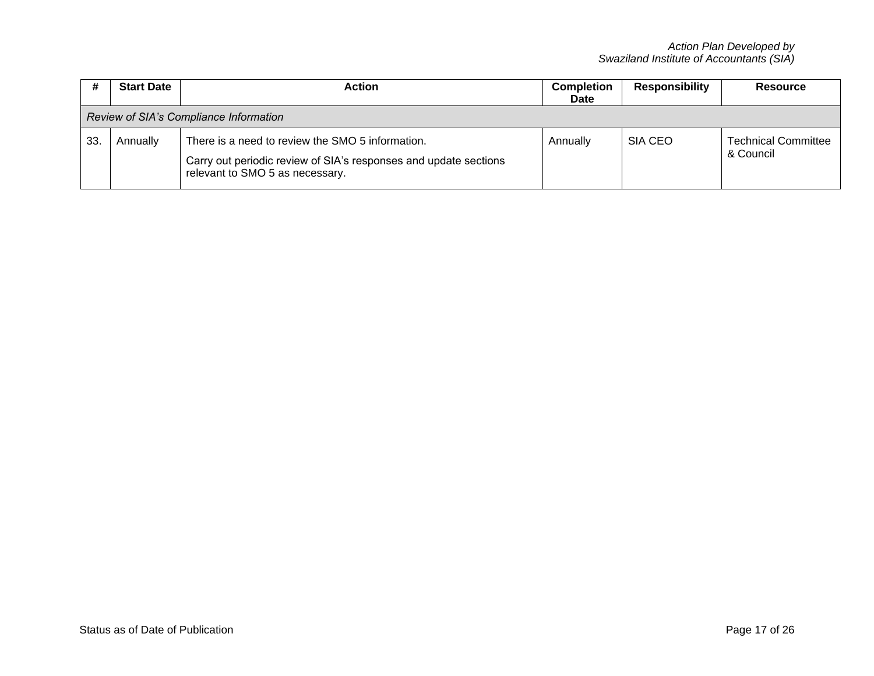|    | <b>Start Date</b><br><b>Action</b>     |                                                                                                                                                         | <b>Completion</b><br><b>Date</b> | <b>Responsibility</b> | Resource                                |  |  |
|----|----------------------------------------|---------------------------------------------------------------------------------------------------------------------------------------------------------|----------------------------------|-----------------------|-----------------------------------------|--|--|
|    | Review of SIA's Compliance Information |                                                                                                                                                         |                                  |                       |                                         |  |  |
| 33 | Annually                               | There is a need to review the SMO 5 information.<br>Carry out periodic review of SIA's responses and update sections<br>relevant to SMO 5 as necessary. | Annually                         | SIA CEO               | <b>Technical Committee</b><br>& Council |  |  |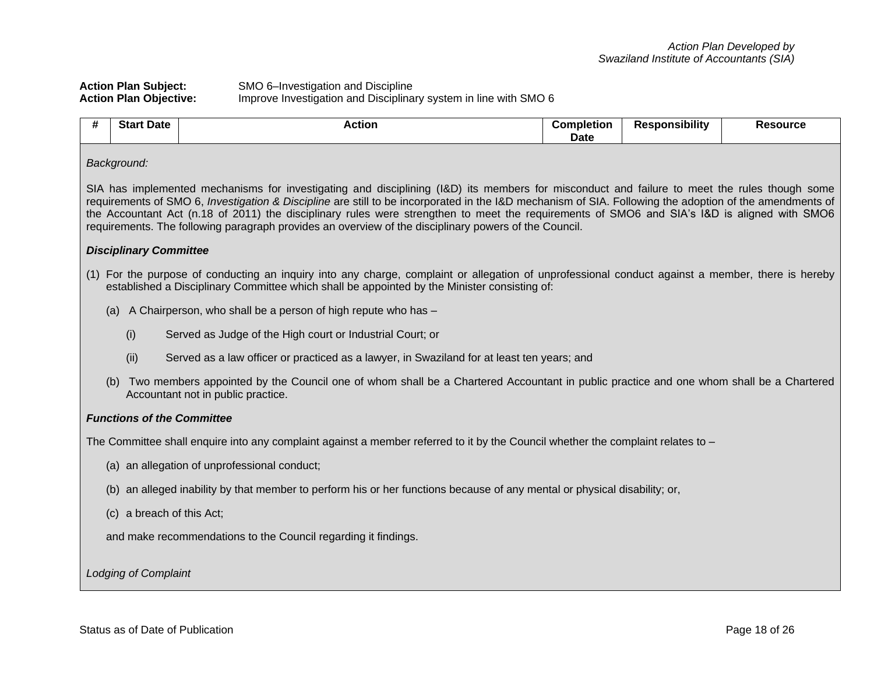## **Action Plan Subject:** SMO 6–Investigation and Discipline **Action Plan Objective:** Improve Investigation and Disciplinary system in line with SMO 6

| # | <b>Start Date</b>                                                                                                                                                                                                                                                                                                                                                                                                                                                                                                                                                | <b>Action</b>                                                                                                                                                                                                                                     | <b>Completion</b><br><b>Date</b> | <b>Responsibility</b> | <b>Resource</b> |  |  |  |  |
|---|------------------------------------------------------------------------------------------------------------------------------------------------------------------------------------------------------------------------------------------------------------------------------------------------------------------------------------------------------------------------------------------------------------------------------------------------------------------------------------------------------------------------------------------------------------------|---------------------------------------------------------------------------------------------------------------------------------------------------------------------------------------------------------------------------------------------------|----------------------------------|-----------------------|-----------------|--|--|--|--|
|   | Background:                                                                                                                                                                                                                                                                                                                                                                                                                                                                                                                                                      |                                                                                                                                                                                                                                                   |                                  |                       |                 |  |  |  |  |
|   | SIA has implemented mechanisms for investigating and disciplining (I&D) its members for misconduct and failure to meet the rules though some<br>requirements of SMO 6, Investigation & Discipline are still to be incorporated in the I&D mechanism of SIA. Following the adoption of the amendments of<br>the Accountant Act (n.18 of 2011) the disciplinary rules were strengthen to meet the requirements of SMO6 and SIA's I&D is aligned with SMO6<br>requirements. The following paragraph provides an overview of the disciplinary powers of the Council. |                                                                                                                                                                                                                                                   |                                  |                       |                 |  |  |  |  |
|   | <b>Disciplinary Committee</b>                                                                                                                                                                                                                                                                                                                                                                                                                                                                                                                                    |                                                                                                                                                                                                                                                   |                                  |                       |                 |  |  |  |  |
|   |                                                                                                                                                                                                                                                                                                                                                                                                                                                                                                                                                                  | (1) For the purpose of conducting an inquiry into any charge, complaint or allegation of unprofessional conduct against a member, there is hereby<br>established a Disciplinary Committee which shall be appointed by the Minister consisting of: |                                  |                       |                 |  |  |  |  |
|   |                                                                                                                                                                                                                                                                                                                                                                                                                                                                                                                                                                  | (a) A Chairperson, who shall be a person of high repute who has -                                                                                                                                                                                 |                                  |                       |                 |  |  |  |  |
|   | (i)                                                                                                                                                                                                                                                                                                                                                                                                                                                                                                                                                              | Served as Judge of the High court or Industrial Court; or                                                                                                                                                                                         |                                  |                       |                 |  |  |  |  |
|   | (ii)                                                                                                                                                                                                                                                                                                                                                                                                                                                                                                                                                             | Served as a law officer or practiced as a lawyer, in Swaziland for at least ten years; and                                                                                                                                                        |                                  |                       |                 |  |  |  |  |
|   |                                                                                                                                                                                                                                                                                                                                                                                                                                                                                                                                                                  | Two members appointed by the Council one of whom shall be a Chartered Accountant in public practice and one whom shall be a Chartered<br>Accountant not in public practice.                                                                       |                                  |                       |                 |  |  |  |  |
|   | <b>Functions of the Committee</b>                                                                                                                                                                                                                                                                                                                                                                                                                                                                                                                                |                                                                                                                                                                                                                                                   |                                  |                       |                 |  |  |  |  |
|   |                                                                                                                                                                                                                                                                                                                                                                                                                                                                                                                                                                  | The Committee shall enquire into any complaint against a member referred to it by the Council whether the complaint relates to -                                                                                                                  |                                  |                       |                 |  |  |  |  |
|   |                                                                                                                                                                                                                                                                                                                                                                                                                                                                                                                                                                  | (a) an allegation of unprofessional conduct;                                                                                                                                                                                                      |                                  |                       |                 |  |  |  |  |
|   |                                                                                                                                                                                                                                                                                                                                                                                                                                                                                                                                                                  | (b) an alleged inability by that member to perform his or her functions because of any mental or physical disability; or,                                                                                                                         |                                  |                       |                 |  |  |  |  |
|   | (c) a breach of this Act;                                                                                                                                                                                                                                                                                                                                                                                                                                                                                                                                        |                                                                                                                                                                                                                                                   |                                  |                       |                 |  |  |  |  |
|   | and make recommendations to the Council regarding it findings.                                                                                                                                                                                                                                                                                                                                                                                                                                                                                                   |                                                                                                                                                                                                                                                   |                                  |                       |                 |  |  |  |  |
|   | Lodging of Complaint                                                                                                                                                                                                                                                                                                                                                                                                                                                                                                                                             |                                                                                                                                                                                                                                                   |                                  |                       |                 |  |  |  |  |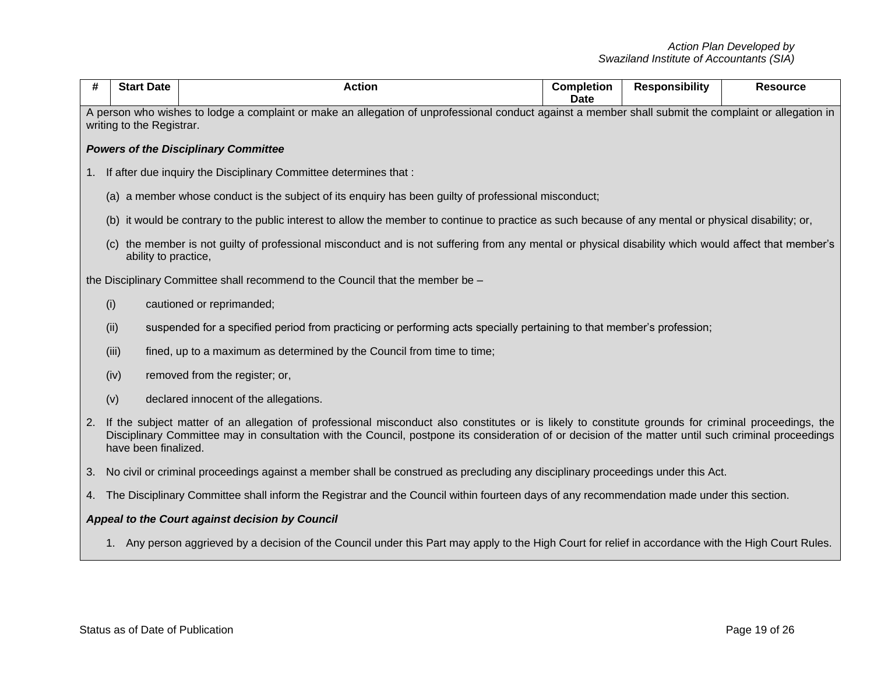| #  | <b>Start Date</b>                                                                                                                                                                  | <b>Action</b>                                                                                                                                                                                                                                                                                               | <b>Completion</b><br><b>Date</b> | <b>Responsibility</b> | <b>Resource</b> |  |  |  |  |
|----|------------------------------------------------------------------------------------------------------------------------------------------------------------------------------------|-------------------------------------------------------------------------------------------------------------------------------------------------------------------------------------------------------------------------------------------------------------------------------------------------------------|----------------------------------|-----------------------|-----------------|--|--|--|--|
|    | A person who wishes to lodge a complaint or make an allegation of unprofessional conduct against a member shall submit the complaint or allegation in<br>writing to the Registrar. |                                                                                                                                                                                                                                                                                                             |                                  |                       |                 |  |  |  |  |
|    |                                                                                                                                                                                    | <b>Powers of the Disciplinary Committee</b>                                                                                                                                                                                                                                                                 |                                  |                       |                 |  |  |  |  |
| 1. | If after due inquiry the Disciplinary Committee determines that:                                                                                                                   |                                                                                                                                                                                                                                                                                                             |                                  |                       |                 |  |  |  |  |
|    |                                                                                                                                                                                    | (a) a member whose conduct is the subject of its enquiry has been guilty of professional misconduct;                                                                                                                                                                                                        |                                  |                       |                 |  |  |  |  |
|    |                                                                                                                                                                                    | (b) it would be contrary to the public interest to allow the member to continue to practice as such because of any mental or physical disability; or,                                                                                                                                                       |                                  |                       |                 |  |  |  |  |
|    | (c) the member is not guilty of professional misconduct and is not suffering from any mental or physical disability which would affect that member's<br>ability to practice,       |                                                                                                                                                                                                                                                                                                             |                                  |                       |                 |  |  |  |  |
|    |                                                                                                                                                                                    | the Disciplinary Committee shall recommend to the Council that the member be -                                                                                                                                                                                                                              |                                  |                       |                 |  |  |  |  |
|    | (i)                                                                                                                                                                                | cautioned or reprimanded;                                                                                                                                                                                                                                                                                   |                                  |                       |                 |  |  |  |  |
|    | (ii)                                                                                                                                                                               | suspended for a specified period from practicing or performing acts specially pertaining to that member's profession;                                                                                                                                                                                       |                                  |                       |                 |  |  |  |  |
|    | (iii)                                                                                                                                                                              | fined, up to a maximum as determined by the Council from time to time;                                                                                                                                                                                                                                      |                                  |                       |                 |  |  |  |  |
|    | (iv)                                                                                                                                                                               | removed from the register; or,                                                                                                                                                                                                                                                                              |                                  |                       |                 |  |  |  |  |
|    | (v)                                                                                                                                                                                | declared innocent of the allegations.                                                                                                                                                                                                                                                                       |                                  |                       |                 |  |  |  |  |
| 2. | have been finalized.                                                                                                                                                               | If the subject matter of an allegation of professional misconduct also constitutes or is likely to constitute grounds for criminal proceedings, the<br>Disciplinary Committee may in consultation with the Council, postpone its consideration of or decision of the matter until such criminal proceedings |                                  |                       |                 |  |  |  |  |
| 3. | No civil or criminal proceedings against a member shall be construed as precluding any disciplinary proceedings under this Act.                                                    |                                                                                                                                                                                                                                                                                                             |                                  |                       |                 |  |  |  |  |
|    | 4. The Disciplinary Committee shall inform the Registrar and the Council within fourteen days of any recommendation made under this section.                                       |                                                                                                                                                                                                                                                                                                             |                                  |                       |                 |  |  |  |  |
|    |                                                                                                                                                                                    | Appeal to the Court against decision by Council                                                                                                                                                                                                                                                             |                                  |                       |                 |  |  |  |  |
|    |                                                                                                                                                                                    | 1. Any person aggrieved by a decision of the Council under this Part may apply to the High Court for relief in accordance with the High Court Rules.                                                                                                                                                        |                                  |                       |                 |  |  |  |  |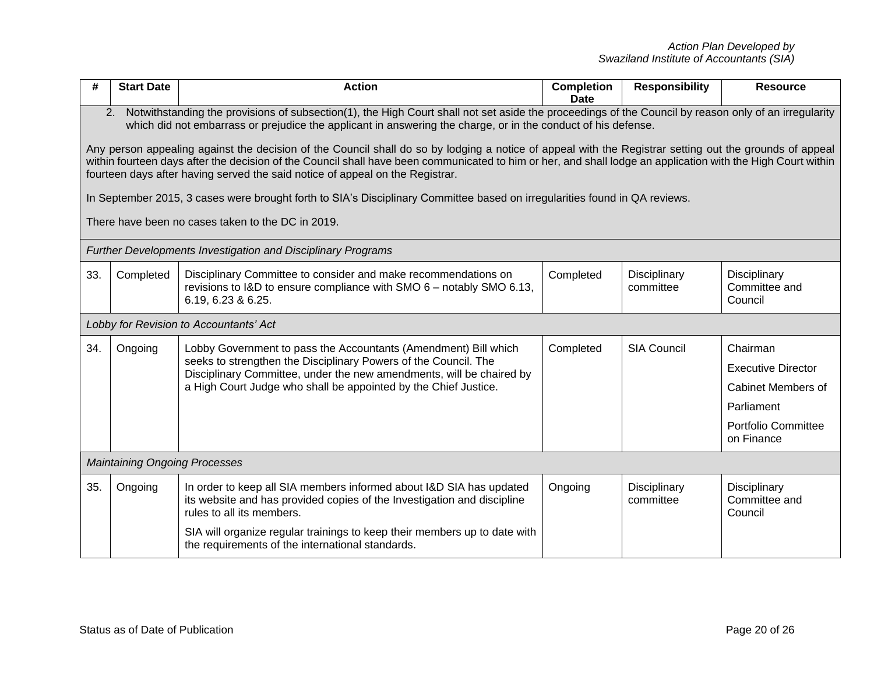| #   | <b>Start Date</b>                                                                                                                                                                                                                                                                                                                                                                                                                                                                                                                                                                                                                                                                                                                                                                                                                                                          | <b>Action</b>                                                                                                                                                                                                                                                                                                | <b>Completion</b><br><b>Date</b> | <b>Responsibility</b>     | <b>Resource</b>                                                                                                       |  |  |
|-----|----------------------------------------------------------------------------------------------------------------------------------------------------------------------------------------------------------------------------------------------------------------------------------------------------------------------------------------------------------------------------------------------------------------------------------------------------------------------------------------------------------------------------------------------------------------------------------------------------------------------------------------------------------------------------------------------------------------------------------------------------------------------------------------------------------------------------------------------------------------------------|--------------------------------------------------------------------------------------------------------------------------------------------------------------------------------------------------------------------------------------------------------------------------------------------------------------|----------------------------------|---------------------------|-----------------------------------------------------------------------------------------------------------------------|--|--|
|     | Notwithstanding the provisions of subsection(1), the High Court shall not set aside the proceedings of the Council by reason only of an irregularity<br>2.<br>which did not embarrass or prejudice the applicant in answering the charge, or in the conduct of his defense.<br>Any person appealing against the decision of the Council shall do so by lodging a notice of appeal with the Registrar setting out the grounds of appeal<br>within fourteen days after the decision of the Council shall have been communicated to him or her, and shall lodge an application with the High Court within<br>fourteen days after having served the said notice of appeal on the Registrar.<br>In September 2015, 3 cases were brought forth to SIA's Disciplinary Committee based on irregularities found in QA reviews.<br>There have been no cases taken to the DC in 2019. |                                                                                                                                                                                                                                                                                                              |                                  |                           |                                                                                                                       |  |  |
|     |                                                                                                                                                                                                                                                                                                                                                                                                                                                                                                                                                                                                                                                                                                                                                                                                                                                                            | <b>Further Developments Investigation and Disciplinary Programs</b>                                                                                                                                                                                                                                          |                                  |                           |                                                                                                                       |  |  |
| 33. | Completed                                                                                                                                                                                                                                                                                                                                                                                                                                                                                                                                                                                                                                                                                                                                                                                                                                                                  | Completed<br>Disciplinary Committee to consider and make recommendations on<br>Disciplinary<br>Disciplinary<br>revisions to I&D to ensure compliance with SMO $6 -$ notably SMO 6.13,<br>Committee and<br>committee<br>6.19, 6.23 & 6.25.<br>Council                                                         |                                  |                           |                                                                                                                       |  |  |
|     |                                                                                                                                                                                                                                                                                                                                                                                                                                                                                                                                                                                                                                                                                                                                                                                                                                                                            | Lobby for Revision to Accountants' Act                                                                                                                                                                                                                                                                       |                                  |                           |                                                                                                                       |  |  |
| 34. | Ongoing                                                                                                                                                                                                                                                                                                                                                                                                                                                                                                                                                                                                                                                                                                                                                                                                                                                                    | Lobby Government to pass the Accountants (Amendment) Bill which<br>seeks to strengthen the Disciplinary Powers of the Council. The<br>Disciplinary Committee, under the new amendments, will be chaired by<br>a High Court Judge who shall be appointed by the Chief Justice.                                | Completed                        | <b>SIA Council</b>        | Chairman<br><b>Executive Director</b><br><b>Cabinet Members of</b><br>Parliament<br>Portfolio Committee<br>on Finance |  |  |
|     | <b>Maintaining Ongoing Processes</b>                                                                                                                                                                                                                                                                                                                                                                                                                                                                                                                                                                                                                                                                                                                                                                                                                                       |                                                                                                                                                                                                                                                                                                              |                                  |                           |                                                                                                                       |  |  |
| 35. | Ongoing                                                                                                                                                                                                                                                                                                                                                                                                                                                                                                                                                                                                                                                                                                                                                                                                                                                                    | In order to keep all SIA members informed about I&D SIA has updated<br>its website and has provided copies of the Investigation and discipline<br>rules to all its members.<br>SIA will organize regular trainings to keep their members up to date with<br>the requirements of the international standards. | Ongoing                          | Disciplinary<br>committee | Disciplinary<br>Committee and<br>Council                                                                              |  |  |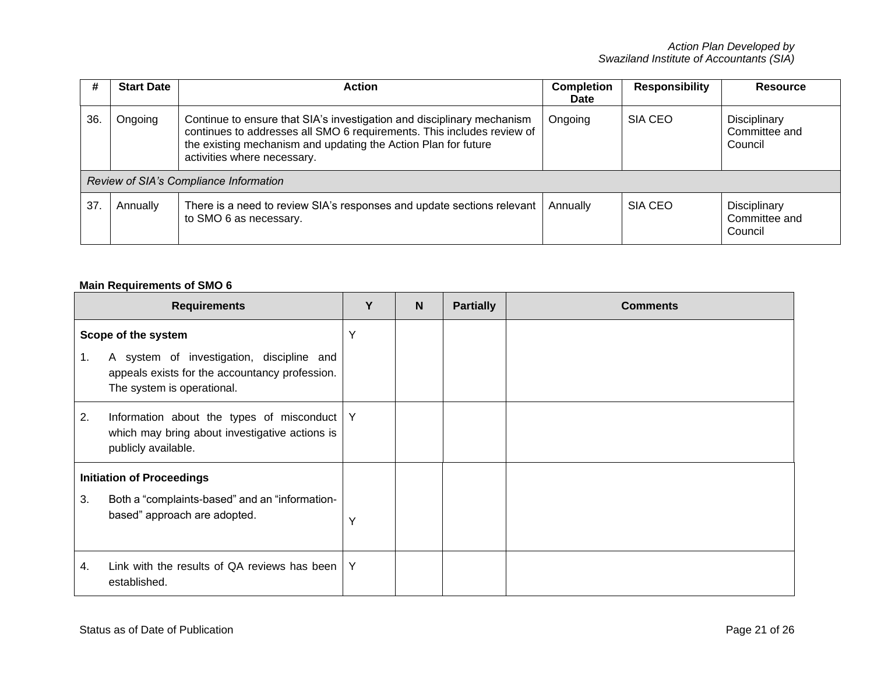| #   | <b>Start Date</b> | Action                                                                                                                                                                                                                                            | <b>Completion</b><br><b>Date</b> | <b>Responsibility</b> | <b>Resource</b>                          |
|-----|-------------------|---------------------------------------------------------------------------------------------------------------------------------------------------------------------------------------------------------------------------------------------------|----------------------------------|-----------------------|------------------------------------------|
| 36. | Ongoing           | Continue to ensure that SIA's investigation and disciplinary mechanism<br>continues to addresses all SMO 6 requirements. This includes review of<br>the existing mechanism and updating the Action Plan for future<br>activities where necessary. | Ongoing                          | SIA CEO               | Disciplinary<br>Committee and<br>Council |
|     |                   | Review of SIA's Compliance Information                                                                                                                                                                                                            |                                  |                       |                                          |
| 37  | Annually          | There is a need to review SIA's responses and update sections relevant<br>to SMO 6 as necessary.                                                                                                                                                  | Annually                         | SIA CEO               | Disciplinary<br>Committee and<br>Council |

## **Main Requirements of SMO 6**

|    | <b>Requirements</b>                                                                                                       | Υ | $\mathbf N$ | <b>Partially</b> | <b>Comments</b> |
|----|---------------------------------------------------------------------------------------------------------------------------|---|-------------|------------------|-----------------|
|    | Scope of the system                                                                                                       | Y |             |                  |                 |
| 1. | A system of investigation, discipline and<br>appeals exists for the accountancy profession.<br>The system is operational. |   |             |                  |                 |
| 2. | Information about the types of misconduct   Y<br>which may bring about investigative actions is<br>publicly available.    |   |             |                  |                 |
|    | <b>Initiation of Proceedings</b>                                                                                          |   |             |                  |                 |
| 3. | Both a "complaints-based" and an "information-<br>based" approach are adopted.                                            | Y |             |                  |                 |
| 4. | Link with the results of QA reviews has been $ Y $<br>established.                                                        |   |             |                  |                 |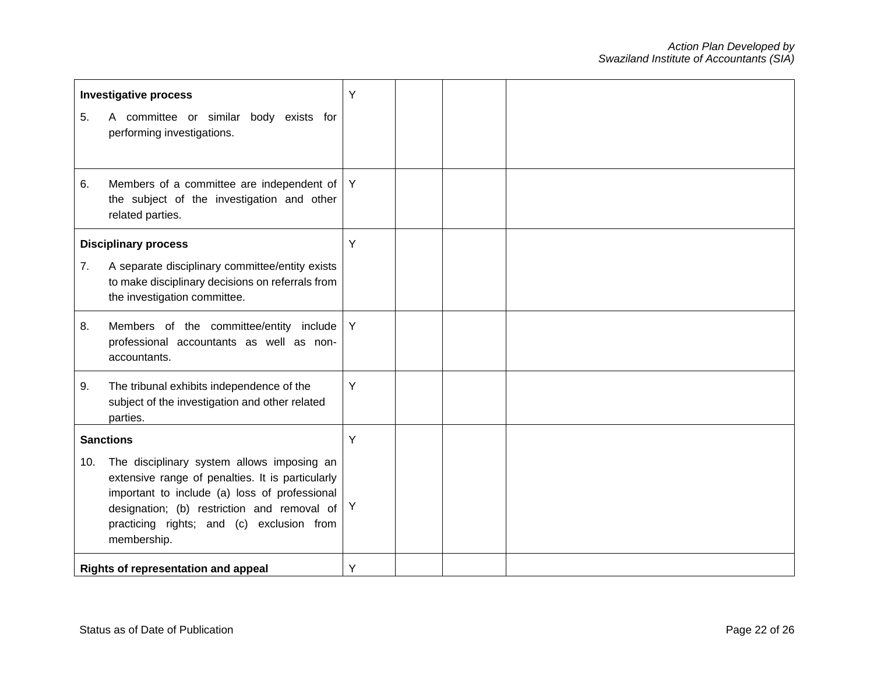|     | <b>Investigative process</b>                                                                                                                                                                                                                               | Y |  |  |
|-----|------------------------------------------------------------------------------------------------------------------------------------------------------------------------------------------------------------------------------------------------------------|---|--|--|
| 5.  | A committee or similar body exists for<br>performing investigations.                                                                                                                                                                                       |   |  |  |
| 6.  | Members of a committee are independent of $ Y $<br>the subject of the investigation and other<br>related parties.                                                                                                                                          |   |  |  |
|     | <b>Disciplinary process</b>                                                                                                                                                                                                                                | Y |  |  |
| 7.  | A separate disciplinary committee/entity exists<br>to make disciplinary decisions on referrals from<br>the investigation committee.                                                                                                                        |   |  |  |
| 8.  | Members of the committee/entity include<br>professional accountants as well as non-<br>accountants.                                                                                                                                                        | Y |  |  |
| 9.  | The tribunal exhibits independence of the<br>subject of the investigation and other related<br>parties.                                                                                                                                                    | Y |  |  |
|     | <b>Sanctions</b>                                                                                                                                                                                                                                           | Y |  |  |
| 10. | The disciplinary system allows imposing an<br>extensive range of penalties. It is particularly<br>important to include (a) loss of professional<br>designation; (b) restriction and removal of<br>practicing rights; and (c) exclusion from<br>membership. | Y |  |  |
|     | Rights of representation and appeal                                                                                                                                                                                                                        | Y |  |  |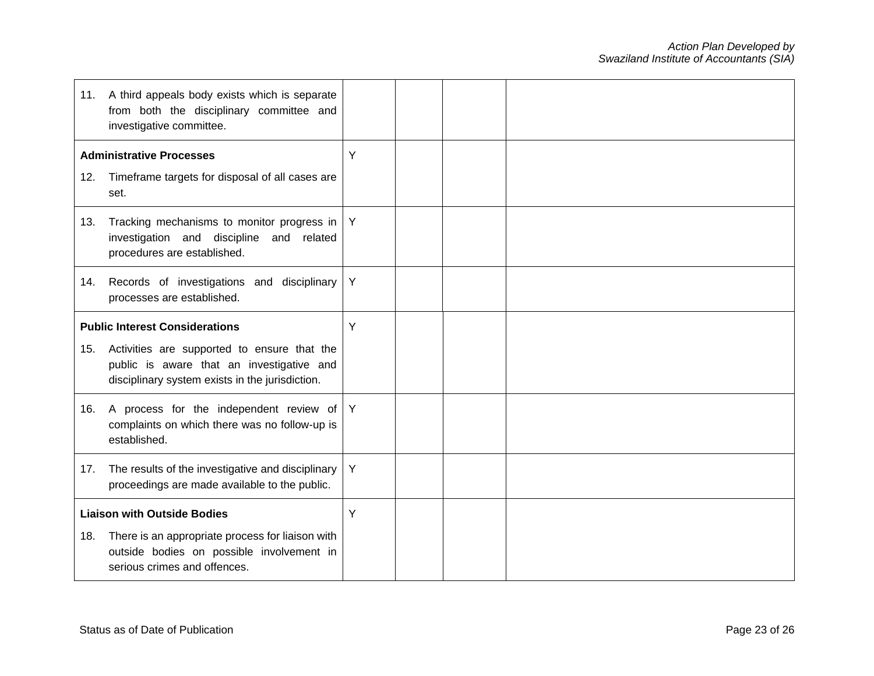|                                       | 11. A third appeals body exists which is separate<br>from both the disciplinary committee and<br>investigative committee.                   |   |  |  |
|---------------------------------------|---------------------------------------------------------------------------------------------------------------------------------------------|---|--|--|
|                                       | <b>Administrative Processes</b>                                                                                                             | Y |  |  |
| 12.                                   | Timeframe targets for disposal of all cases are<br>set.                                                                                     |   |  |  |
| 13.                                   | Tracking mechanisms to monitor progress in<br>investigation and discipline and related<br>procedures are established.                       | Y |  |  |
| 14.                                   | Records of investigations and disciplinary<br>processes are established.                                                                    | Y |  |  |
| <b>Public Interest Considerations</b> |                                                                                                                                             | Y |  |  |
| 15.                                   | Activities are supported to ensure that the<br>public is aware that an investigative and<br>disciplinary system exists in the jurisdiction. |   |  |  |
|                                       | 16. A process for the independent review of<br>complaints on which there was no follow-up is<br>established.                                | Y |  |  |
| 17.                                   | The results of the investigative and disciplinary<br>proceedings are made available to the public.                                          | Y |  |  |
| <b>Liaison with Outside Bodies</b>    |                                                                                                                                             | Y |  |  |
| 18.                                   | There is an appropriate process for liaison with<br>outside bodies on possible involvement in<br>serious crimes and offences.               |   |  |  |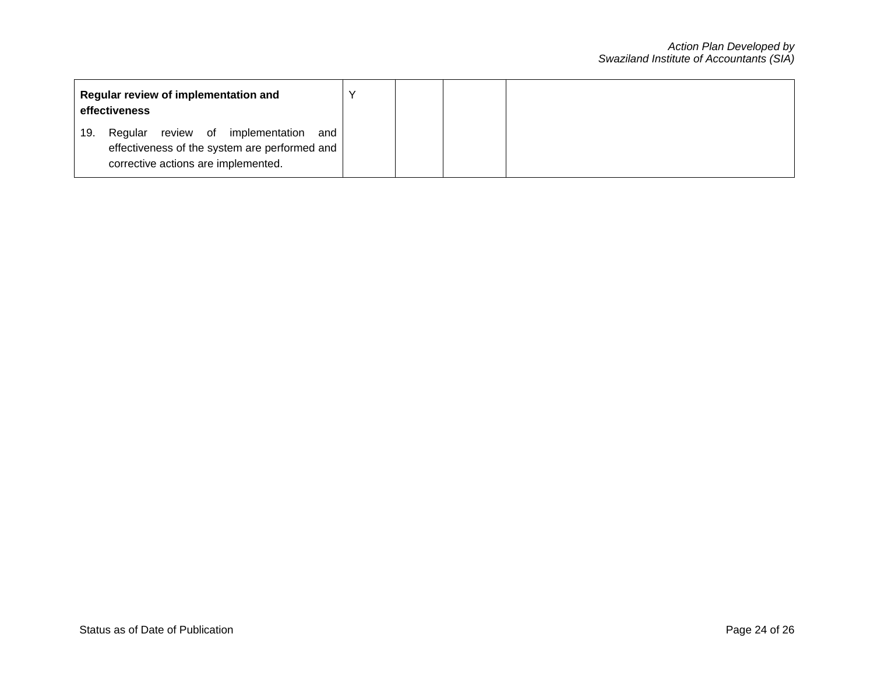| Regular review of implementation and<br>effectiveness                                                                                     |  |  |
|-------------------------------------------------------------------------------------------------------------------------------------------|--|--|
| review of implementation<br>Regular<br>19.<br>and<br>effectiveness of the system are performed and<br>corrective actions are implemented. |  |  |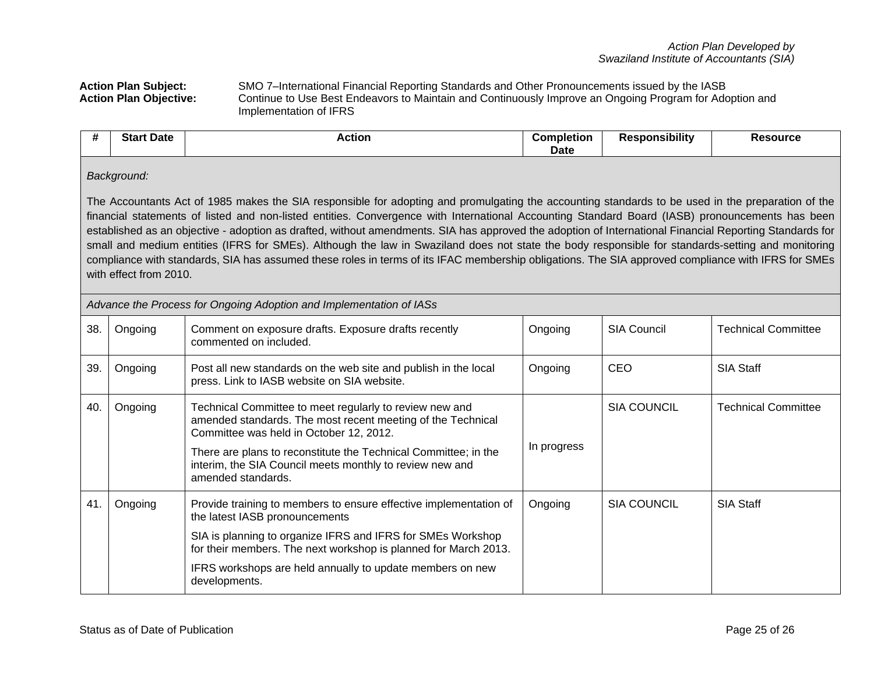Action Plan Subject: SMO 7–International Financial Reporting Standards and Other Pronouncements issued by the IASB<br>**Action Plan Objective:** Continue to Use Best Endeavors to Maintain and Continuously Improve an Ongoing Pro **Action Plan Objective:** Continue to Use Best Endeavors to Maintain and Continuously Improve an Ongoing Program for Adoption and Implementation of IFRS

| <br>C <sub>in</sub><br>Date .<br>ыаг | <b>Action</b> | Completion | <br>.<br>≅ponsibilitv | Resource |
|--------------------------------------|---------------|------------|-----------------------|----------|
|                                      |               | Date       |                       |          |

## *Background:*

The Accountants Act of 1985 makes the SIA responsible for adopting and promulgating the accounting standards to be used in the preparation of the financial statements of listed and non-listed entities. Convergence with International Accounting Standard Board (IASB) pronouncements has been established as an objective - adoption as drafted, without amendments. SIA has approved the adoption of International Financial Reporting Standards for small and medium entities (IFRS for SMEs). Although the law in Swaziland does not state the body responsible for standards-setting and monitoring compliance with standards, SIA has assumed these roles in terms of its IFAC membership obligations. The SIA approved compliance with IFRS for SMEs with effect from 2010.

| Advance the Process for Ongoing Adoption and Implementation of IASs |         |                                                                                                                                                                                                                                                                                                                        |             |                    |                            |  |  |
|---------------------------------------------------------------------|---------|------------------------------------------------------------------------------------------------------------------------------------------------------------------------------------------------------------------------------------------------------------------------------------------------------------------------|-------------|--------------------|----------------------------|--|--|
| 38.                                                                 | Ongoing | Comment on exposure drafts. Exposure drafts recently<br>commented on included.                                                                                                                                                                                                                                         | Ongoing     | <b>SIA Council</b> | <b>Technical Committee</b> |  |  |
| 39.                                                                 | Ongoing | Post all new standards on the web site and publish in the local<br>press. Link to IASB website on SIA website.                                                                                                                                                                                                         | Ongoing     | <b>CEO</b>         | <b>SIA Staff</b>           |  |  |
| 40.                                                                 | Ongoing | Technical Committee to meet regularly to review new and<br>amended standards. The most recent meeting of the Technical<br>Committee was held in October 12, 2012.<br>There are plans to reconstitute the Technical Committee; in the<br>interim, the SIA Council meets monthly to review new and<br>amended standards. | In progress | <b>SIA COUNCIL</b> | <b>Technical Committee</b> |  |  |
| 41.                                                                 | Ongoing | Provide training to members to ensure effective implementation of<br>the latest IASB pronouncements<br>SIA is planning to organize IFRS and IFRS for SMEs Workshop<br>for their members. The next workshop is planned for March 2013.<br>IFRS workshops are held annually to update members on new<br>developments.    | Ongoing     | <b>SIA COUNCIL</b> | SIA Staff                  |  |  |